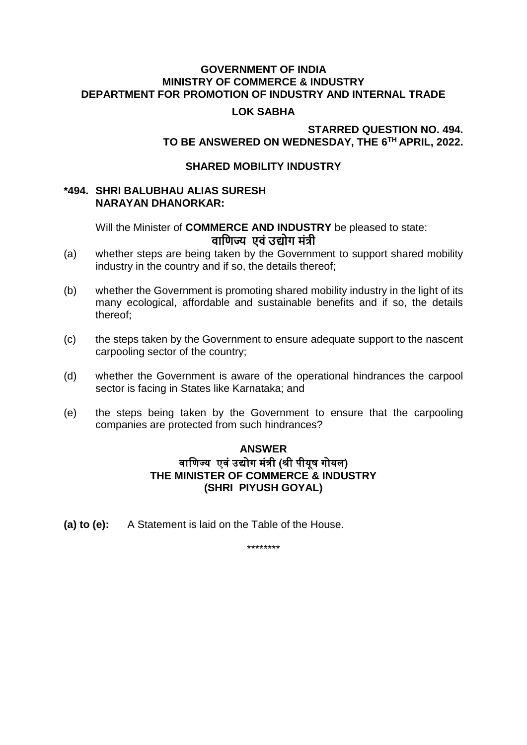#### **GOVERNMENT OF INDIA MINISTRY OF COMMERCE & INDUSTRY DEPARTMENT FOR PROMOTION OF INDUSTRY AND INTERNAL TRADE**

## **LOK SABHA**

# **STARRED QUESTION NO. 494. TO BE ANSWERED ON WEDNESDAY, THE 6 TH APRIL, 2022.**

#### **SHARED MOBILITY INDUSTRY**

## **\*494. SHRI BALUBHAU ALIAS SURESH NARAYAN DHANORKAR:**

Will the Minister of **COMMERCE AND INDUSTRY** be pleased to state: **वाणिज्य एवं उद्योग मंत्री**

- (a) whether steps are being taken by the Government to support shared mobility industry in the country and if so, the details thereof;
- (b) whether the Government is promoting shared mobility industry in the light of its many ecological, affordable and sustainable benefits and if so, the details thereof;
- (c) the steps taken by the Government to ensure adequate support to the nascent carpooling sector of the country;
- (d) whether the Government is aware of the operational hindrances the carpool sector is facing in States like Karnataka; and
- (e) the steps being taken by the Government to ensure that the carpooling companies are protected from such hindrances?

# **ANSWER** वाणिज्य एवं उद्योग मंत्री (श्री पीयूष गोयल) **THE MINISTER OF COMMERCE & INDUSTRY (SHRI PIYUSH GOYAL)**

**(a) to (e):** A Statement is laid on the Table of the House.

\*\*\*\*\*\*\*\*